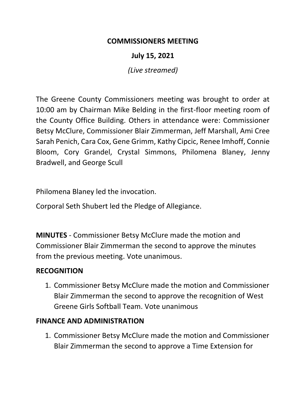### **COMMISSIONERS MEETING**

## **July 15, 2021**

*(Live streamed)*

The Greene County Commissioners meeting was brought to order at 10:00 am by Chairman Mike Belding in the first-floor meeting room of the County Office Building. Others in attendance were: Commissioner Betsy McClure, Commissioner Blair Zimmerman, Jeff Marshall, Ami Cree Sarah Penich, Cara Cox, Gene Grimm, Kathy Cipcic, Renee Imhoff, Connie Bloom, Cory Grandel, Crystal Simmons, Philomena Blaney, Jenny Bradwell, and George Scull

Philomena Blaney led the invocation.

Corporal Seth Shubert led the Pledge of Allegiance.

**MINUTES** - Commissioner Betsy McClure made the motion and Commissioner Blair Zimmerman the second to approve the minutes from the previous meeting. Vote unanimous.

#### **RECOGNITION**

1. Commissioner Betsy McClure made the motion and Commissioner Blair Zimmerman the second to approve the recognition of West Greene Girls Softball Team. Vote unanimous

### **FINANCE AND ADMINISTRATION**

1. Commissioner Betsy McClure made the motion and Commissioner Blair Zimmerman the second to approve a Time Extension for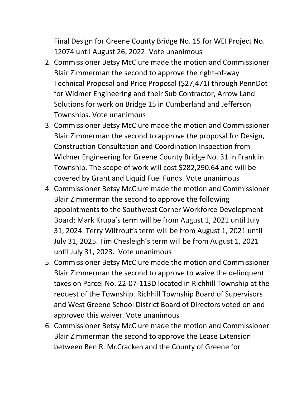Final Design for Greene County Bridge No. 15 for WEI Project No. 12074 until August 26, 2022. Vote unanimous

- 2. Commissioner Betsy McClure made the motion and Commissioner Blair Zimmerman the second to approve the right-of-way Technical Proposal and Price Proposal (\$27,471) through PennDot for Widmer Engineering and their Sub Contractor, Arrow Land Solutions for work on Bridge 15 in Cumberland and Jefferson Townships. Vote unanimous
- 3. Commissioner Betsy McClure made the motion and Commissioner Blair Zimmerman the second to approve the proposal for Design, Construction Consultation and Coordination Inspection from Widmer Engineering for Greene County Bridge No. 31 in Franklin Township. The scope of work will cost \$282,290.64 and will be covered by Grant and Liquid Fuel Funds. Vote unanimous
- 4. Commissioner Betsy McClure made the motion and Commissioner Blair Zimmerman the second to approve the following appointments to the Southwest Corner Workforce Development Board: Mark Krupa's term will be from August 1, 2021 until July 31, 2024. Terry Wiltrout's term will be from August 1, 2021 until July 31, 2025. Tim Chesleigh's term will be from August 1, 2021 until July 31, 2023. Vote unanimous
- 5. Commissioner Betsy McClure made the motion and Commissioner Blair Zimmerman the second to approve to waive the delinquent taxes on Parcel No. 22-07-113D located in Richhill Township at the request of the Township. Richhill Township Board of Supervisors and West Greene School District Board of Directors voted on and approved this waiver. Vote unanimous
- 6. Commissioner Betsy McClure made the motion and Commissioner Blair Zimmerman the second to approve the Lease Extension between Ben R. McCracken and the County of Greene for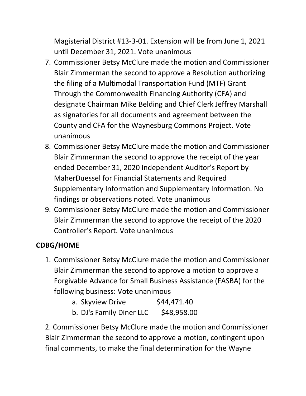Magisterial District #13-3-01. Extension will be from June 1, 2021 until December 31, 2021. Vote unanimous

- 7. Commissioner Betsy McClure made the motion and Commissioner Blair Zimmerman the second to approve a Resolution authorizing the filing of a Multimodal Transportation Fund (MTF) Grant Through the Commonwealth Financing Authority (CFA) and designate Chairman Mike Belding and Chief Clerk Jeffrey Marshall as signatories for all documents and agreement between the County and CFA for the Waynesburg Commons Project. Vote unanimous
- 8. Commissioner Betsy McClure made the motion and Commissioner Blair Zimmerman the second to approve the receipt of the year ended December 31, 2020 Independent Auditor's Report by MaherDuessel for Financial Statements and Required Supplementary Information and Supplementary Information. No findings or observations noted. Vote unanimous
- 9. Commissioner Betsy McClure made the motion and Commissioner Blair Zimmerman the second to approve the receipt of the 2020 Controller's Report. Vote unanimous

# **CDBG/HOME**

1. Commissioner Betsy McClure made the motion and Commissioner Blair Zimmerman the second to approve a motion to approve a Forgivable Advance for Small Business Assistance (FASBA) for the following business: Vote unanimous

| a. Skyview Drive | \$44,471.40 |
|------------------|-------------|
|------------------|-------------|

b. DJ's Family Diner LLC \$48,958.00

2. Commissioner Betsy McClure made the motion and Commissioner Blair Zimmerman the second to approve a motion, contingent upon final comments, to make the final determination for the Wayne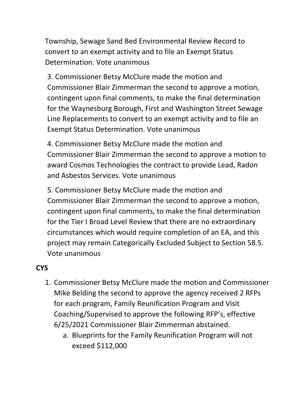Township, Sewage Sand Bed Environmental Review Record to convert to an exempt activity and to file an Exempt Status Determination. Vote unanimous

3. Commissioner Betsy McClure made the motion and Commissioner Blair Zimmerman the second to approve a motion, contingent upon final comments, to make the final determination for the Waynesburg Borough, First and Washington Street Sewage Line Replacements to convert to an exempt activity and to file an Exempt Status Determination. Vote unanimous

4. Commissioner Betsy McClure made the motion and Commissioner Blair Zimmerman the second to approve a motion to award Cosmos Technologies the contract to provide Lead, Radon and Asbestos Services. Vote unanimous

5. Commissioner Betsy McClure made the motion and Commissioner Blair Zimmerman the second to approve a motion, contingent upon final comments, to make the final determination for the Tier I Broad Level Review that there are no extraordinary circumstances which would require completion of an EA, and this project may remain Categorically Excluded Subject to Section 58.5. Vote unanimous

## **CYS**

- 1. Commissioner Betsy McClure made the motion and Commissioner Mike Belding the second to approve the agency received 2 RFPs for each program, Family Reunification Program and Visit Coaching/Supervised to approve the following RFP's, effective 6/25/2021 Commissioner Blair Zimmerman abstained.
	- a. Blueprints for the Family Reunification Program will not exceed \$112,000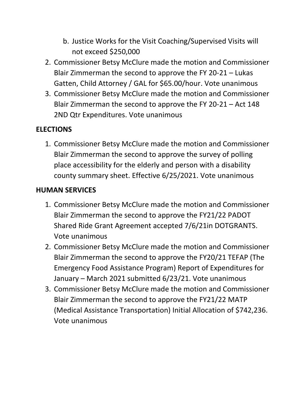- b. Justice Works for the Visit Coaching/Supervised Visits will not exceed \$250,000
- 2. Commissioner Betsy McClure made the motion and Commissioner Blair Zimmerman the second to approve the FY 20-21 – Lukas Gatten, Child Attorney / GAL for \$65.00/hour. Vote unanimous
- 3. Commissioner Betsy McClure made the motion and Commissioner Blair Zimmerman the second to approve the FY 20-21 – Act 148 2ND Qtr Expenditures. Vote unanimous

# **ELECTIONS**

1. Commissioner Betsy McClure made the motion and Commissioner Blair Zimmerman the second to approve the survey of polling place accessibility for the elderly and person with a disability county summary sheet. Effective 6/25/2021. Vote unanimous

# **HUMAN SERVICES**

- 1. Commissioner Betsy McClure made the motion and Commissioner Blair Zimmerman the second to approve the FY21/22 PADOT Shared Ride Grant Agreement accepted 7/6/21in DOTGRANTS. Vote unanimous
- 2. Commissioner Betsy McClure made the motion and Commissioner Blair Zimmerman the second to approve the FY20/21 TEFAP (The Emergency Food Assistance Program) Report of Expenditures for January – March 2021 submitted 6/23/21. Vote unanimous
- 3. Commissioner Betsy McClure made the motion and Commissioner Blair Zimmerman the second to approve the FY21/22 MATP (Medical Assistance Transportation) Initial Allocation of \$742,236. Vote unanimous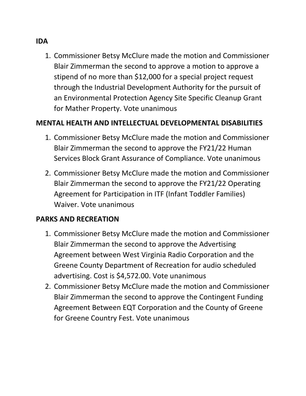1. Commissioner Betsy McClure made the motion and Commissioner Blair Zimmerman the second to approve a motion to approve a stipend of no more than \$12,000 for a special project request through the Industrial Development Authority for the pursuit of an Environmental Protection Agency Site Specific Cleanup Grant for Mather Property. Vote unanimous

## **MENTAL HEALTH AND INTELLECTUAL DEVELOPMENTAL DISABILITIES**

- 1. Commissioner Betsy McClure made the motion and Commissioner Blair Zimmerman the second to approve the FY21/22 Human Services Block Grant Assurance of Compliance. Vote unanimous
- 2. Commissioner Betsy McClure made the motion and Commissioner Blair Zimmerman the second to approve the FY21/22 Operating Agreement for Participation in ITF (Infant Toddler Families) Waiver. Vote unanimous

## **PARKS AND RECREATION**

- 1. Commissioner Betsy McClure made the motion and Commissioner Blair Zimmerman the second to approve the Advertising Agreement between West Virginia Radio Corporation and the Greene County Department of Recreation for audio scheduled advertising. Cost is \$4,572.00. Vote unanimous
- 2. Commissioner Betsy McClure made the motion and Commissioner Blair Zimmerman the second to approve the Contingent Funding Agreement Between EQT Corporation and the County of Greene for Greene Country Fest. Vote unanimous

### **IDA**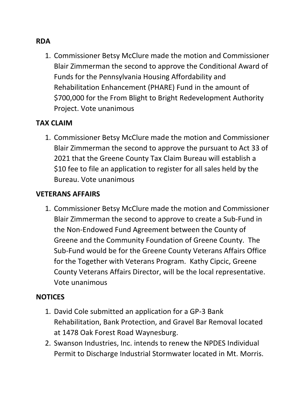### **RDA**

1. Commissioner Betsy McClure made the motion and Commissioner Blair Zimmerman the second to approve the Conditional Award of Funds for the Pennsylvania Housing Affordability and Rehabilitation Enhancement (PHARE) Fund in the amount of \$700,000 for the From Blight to Bright Redevelopment Authority Project. Vote unanimous

### **TAX CLAIM**

1. Commissioner Betsy McClure made the motion and Commissioner Blair Zimmerman the second to approve the pursuant to Act 33 of 2021 that the Greene County Tax Claim Bureau will establish a \$10 fee to file an application to register for all sales held by the Bureau. Vote unanimous

#### **VETERANS AFFAIRS**

1. Commissioner Betsy McClure made the motion and Commissioner Blair Zimmerman the second to approve to create a Sub-Fund in the Non-Endowed Fund Agreement between the County of Greene and the Community Foundation of Greene County. The Sub-Fund would be for the Greene County Veterans Affairs Office for the Together with Veterans Program. Kathy Cipcic, Greene County Veterans Affairs Director, will be the local representative. Vote unanimous

#### **NOTICES**

- 1. David Cole submitted an application for a GP-3 Bank Rehabilitation, Bank Protection, and Gravel Bar Removal located at 1478 Oak Forest Road Waynesburg.
- 2. Swanson Industries, Inc. intends to renew the NPDES Individual Permit to Discharge Industrial Stormwater located in Mt. Morris.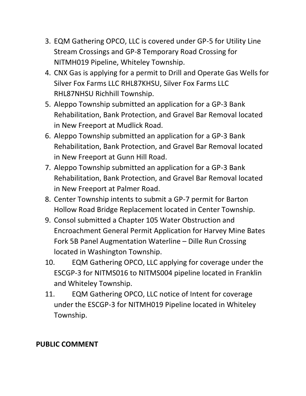- 3. EQM Gathering OPCO, LLC is covered under GP-5 for Utility Line Stream Crossings and GP-8 Temporary Road Crossing for NITMH019 Pipeline, Whiteley Township.
- 4. CNX Gas is applying for a permit to Drill and Operate Gas Wells for Silver Fox Farms LLC RHL87KHSU, Silver Fox Farms LLC RHL87NHSU Richhill Township.
- 5. Aleppo Township submitted an application for a GP-3 Bank Rehabilitation, Bank Protection, and Gravel Bar Removal located in New Freeport at Mudlick Road.
- 6. Aleppo Township submitted an application for a GP-3 Bank Rehabilitation, Bank Protection, and Gravel Bar Removal located in New Freeport at Gunn Hill Road.
- 7. Aleppo Township submitted an application for a GP-3 Bank Rehabilitation, Bank Protection, and Gravel Bar Removal located in New Freeport at Palmer Road.
- 8. Center Township intents to submit a GP-7 permit for Barton Hollow Road Bridge Replacement located in Center Township.
- 9. Consol submitted a Chapter 105 Water Obstruction and Encroachment General Permit Application for Harvey Mine Bates Fork 5B Panel Augmentation Waterline – Dille Run Crossing located in Washington Township.
- 10. EQM Gathering OPCO, LLC applying for coverage under the ESCGP-3 for NITMS016 to NITMS004 pipeline located in Franklin and Whiteley Township.
- 11. EQM Gathering OPCO, LLC notice of Intent for coverage under the ESCGP-3 for NITMH019 Pipeline located in Whiteley Township.

# **PUBLIC COMMENT**